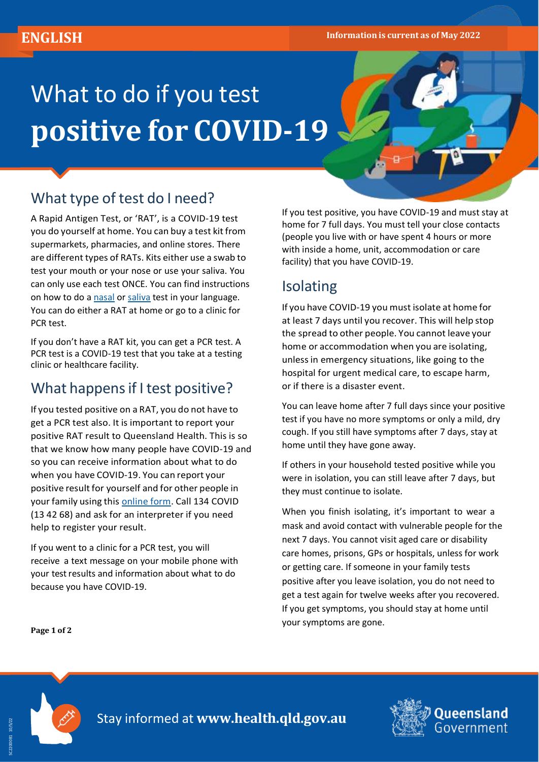# What to do if you test **positive for COVID-19**

# What type of test do I need?

A Rapid Antigen Test, or 'RAT', is a COVID-19 test you do yourself at home. You can buy a test kit from supermarkets, pharmacies, and online stores. There are different types of RATs. Kits either use a swab to test your mouth or your nose or use your saliva. You can only use each test ONCE. You can find instructions on how to do a [nasal](https://www.health.gov.au/resources/translated/coronavirus-covid-19-social-how-to-use-a-nasal-swab-rapid-antigen-test-other-languages) or [saliva](https://www.health.gov.au/resources/translated/coronavirus-covid-19-social-how-to-use-a-rapid-antigen-oral-saliva-test-other-languages) test in your language. You can do either a RAT at home or go to a clinic for PCR test.

If you don't have a RAT kit, you can get a PCR test. A PCR test is a COVID-19 test that you take at a testing clinic or healthcare facility.

### What happens if I test positive?

If you tested positive on a RAT, you do not have to get a PCR test also. It is important to report your positive RAT result to Queensland Health. This is so that we know how many people have COVID-19 and so you can receive information about what to do when you have COVID-19. You can report your positive result for yourself and for other people in your family using this [online](https://www.qld.gov.au/rat-positive) form. Call 134 COVID (13 42 68) and ask for an interpreter if you need help to register your result.

If you went to a clinic for a PCR test, you will receive a text message on your mobile phone with your testresults and information about what to do because you have COVID-19.

If you test positive, you have COVID-19 and must stay at home for 7 full days. You must tell your close contacts (people you live with or have spent 4 hours or more with inside a home, unit, accommodation or care facility) that you have COVID-19.

# Isolating

If you have COVID-19 you must isolate at home for at least 7 days until you recover. This will help stop the spread to other people. You cannot leave your home or accommodation when you are isolating, unlessin emergency situations, like going to the hospital for urgent medical care, to escape harm, or if there is a disaster event.

You can leave home after 7 full days since your positive test if you have no more symptoms or only a mild, dry cough. If you still have symptoms after 7 days, stay at home until they have gone away.

If others in your household tested positive while you were in isolation, you can still leave after 7 days, but they must continue to isolate.

When you finish isolating, it's important to wear a mask and avoid contact with vulnerable people for the next 7 days. You cannot visit aged care or disability care homes, prisons, GPs or hospitals, unless for work or getting care. If someone in your family tests positive after you leave isolation, you do not need to get a test again for twelve weeks after you recovered. If you get symptoms, you should stay at home until your symptoms are gone.

**Page 1 of 2**



Stay informed at **[www.health.qld.gov.au](http://www.health.qld.gov.au/)**